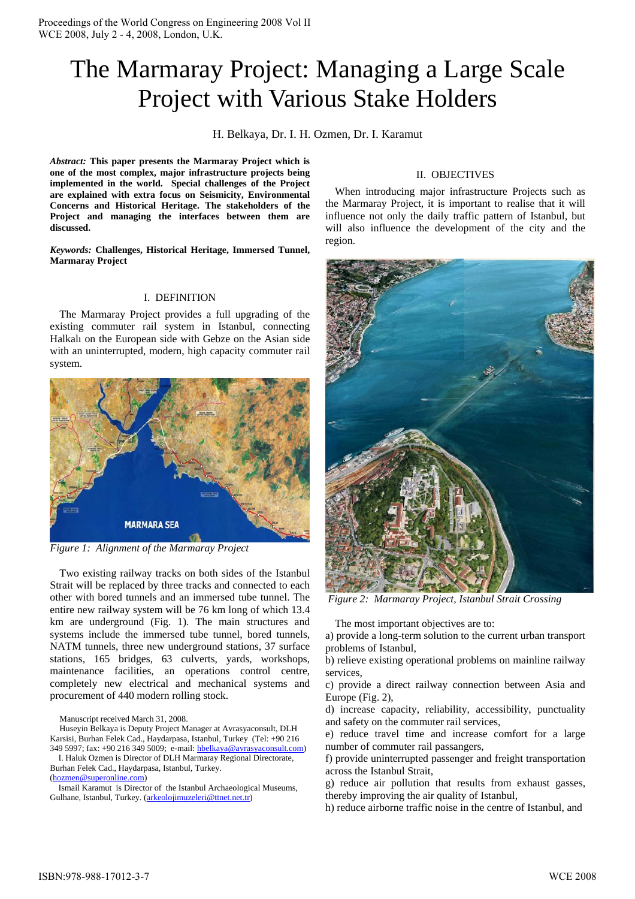# The Marmaray Project: Managing a Large Scale Project with Various Stake Holders

H. Belkaya, Dr. I. H. Ozmen, Dr. I. Karamut

*Abstract:* **This paper presents the Marmaray Project which is one of the most complex, major infrastructure projects being implemented in the world. Special challenges of the Project are explained with extra focus on Seismicity, Environmental Concerns and Historical Heritage. The stakeholders of the Project and managing the interfaces between them are discussed.**

*Keywords:* **Challenges, Historical Heritage, Immersed Tunnel, Marmaray Project**

## I. DEFINITION

The Marmaray Project provides a full upgrading of the existing commuter rail system in Istanbul, connecting Halkalı on the European side with Gebze on the Asian side with an uninterrupted, modern, high capacity commuter rail system.



*Figure 1: Alignment of the Marmaray Project* 

Two existing railway tracks on both sides of the Istanbul Strait will be replaced by three tracks and connected to each other with bored tunnels and an immersed tube tunnel. The entire new railway system will be 76 km long of which 13.4 km are underground (Fig. 1). The main structures and systems include the immersed tube tunnel, bored tunnels, NATM tunnels, three new underground stations, 37 surface stations, 165 bridges, 63 culverts, yards, workshops, maintenance facilities, an operations control centre, completely new electrical and mechanical systems and procurement of 440 modern rolling stock.

Manuscript received March 31, 2008.

Huseyin Belkaya is Deputy Project Manager at Avrasyaconsult, DLH Karsisi, Burhan Felek Cad., Haydarpasa, Istanbul, Turkey (Tel: +90 216 349 5997; fax: +90 216 349 5009; e-mail: hbelkaya@avrasyaconsult.com)

 I. Haluk Ozmen is Director of DLH Marmaray Regional Directorate, Burhan Felek Cad., Haydarpasa, Istanbul, Turkey.

(hozmen@superonline.com)

 Ismail Karamut is Director of the Istanbul Archaeological Museums, Gulhane, Istanbul, Turkey. (arkeolojimuzeleri@ttnet.net.tr)

# II. OBJECTIVES

When introducing major infrastructure Projects such as the Marmaray Project, it is important to realise that it will influence not only the daily traffic pattern of Istanbul, but will also influence the development of the city and the region.



*Figure 2: Marmaray Project, Istanbul Strait Crossing* 

The most important objectives are to:

a) provide a long-term solution to the current urban transport problems of Istanbul,

b) relieve existing operational problems on mainline railway services,

c) provide a direct railway connection between Asia and Europe (Fig. 2),

d) increase capacity, reliability, accessibility, punctuality and safety on the commuter rail services,

e) reduce travel time and increase comfort for a large number of commuter rail passangers,

f) provide uninterrupted passenger and freight transportation across the Istanbul Strait,

g) reduce air pollution that results from exhaust gasses, thereby improving the air quality of Istanbul,

h) reduce airborne traffic noise in the centre of Istanbul, and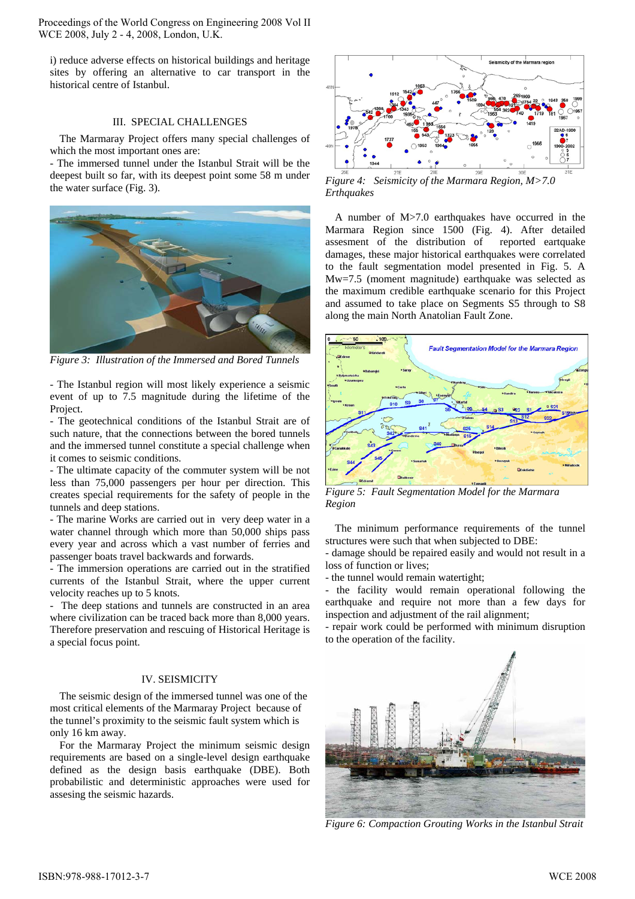i) reduce adverse effects on historical buildings and heritage sites by offering an alternative to car transport in the historical centre of Istanbul.

## III. SPECIAL CHALLENGES

The Marmaray Project offers many special challenges of which the most important ones are:

- The immersed tunnel under the Istanbul Strait will be the deepest built so far, with its deepest point some 58 m under the water surface (Fig. 3).



*Figure 3: Illustration of the Immersed and Bored Tunnels*

- The Istanbul region will most likely experience a seismic event of up to 7.5 magnitude during the lifetime of the Project.

- The geotechnical conditions of the Istanbul Strait are of such nature, that the connections between the bored tunnels and the immersed tunnel constitute a special challenge when it comes to seismic conditions.

- The ultimate capacity of the commuter system will be not less than 75,000 passengers per hour per direction. This creates special requirements for the safety of people in the tunnels and deep stations.

- The marine Works are carried out in very deep water in a water channel through which more than 50,000 ships pass every year and across which a vast number of ferries and passenger boats travel backwards and forwards.

- The immersion operations are carried out in the stratified currents of the Istanbul Strait, where the upper current velocity reaches up to 5 knots.

- The deep stations and tunnels are constructed in an area where civilization can be traced back more than 8,000 years. Therefore preservation and rescuing of Historical Heritage is a special focus point.

#### IV. SEISMICITY

The seismic design of the immersed tunnel was one of the most critical elements of the Marmaray Project because of the tunnel's proximity to the seismic fault system which is only 16 km away.

For the Marmaray Project the minimum seismic design requirements are based on a single-level design earthquake defined as the design basis earthquake (DBE). Both probabilistic and deterministic approaches were used for assesing the seismic hazards.



*Figure 4: Seismicity of the Marmara Region, M>7.0 Erthquakes* 

A number of M>7.0 earthquakes have occurred in the Marmara Region since 1500 (Fig. 4). After detailed assesment of the distribution of reported eartquake damages, these major historical earthquakes were correlated to the fault segmentation model presented in Fig. 5. A Mw=7.5 (moment magnitude) earthquake was selected as the maximum credible earthquake scenario for this Project and assumed to take place on Segments S5 through to S8 along the main North Anatolian Fault Zone.



*Figure 5: Fault Segmentation Model for the Marmara Region* 

The minimum performance requirements of the tunnel structures were such that when subjected to DBE:

- damage should be repaired easily and would not result in a loss of function or lives;

- the tunnel would remain watertight;

- the facility would remain operational following the earthquake and require not more than a few days for inspection and adjustment of the rail alignment;

- repair work could be performed with minimum disruption to the operation of the facility.



*Figure 6: Compaction Grouting Works in the Istanbul Strait*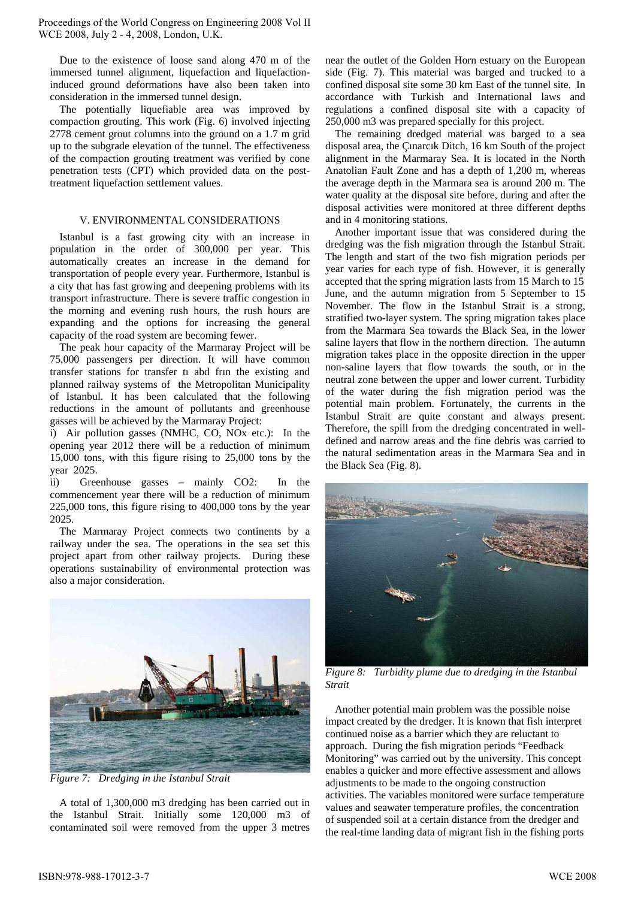Due to the existence of loose sand along 470 m of the immersed tunnel alignment, liquefaction and liquefactioninduced ground deformations have also been taken into consideration in the immersed tunnel design.

The potentially liquefiable area was improved by compaction grouting. This work (Fig. 6) involved injecting 2778 cement grout columns into the ground on a 1.7 m grid up to the subgrade elevation of the tunnel. The effectiveness of the compaction grouting treatment was verified by cone penetration tests (CPT) which provided data on the posttreatment liquefaction settlement values.

# V. ENVIRONMENTAL CONSIDERATIONS

Istanbul is a fast growing city with an increase in population in the order of 300,000 per year. This automatically creates an increase in the demand for transportation of people every year. Furthermore, Istanbul is a city that has fast growing and deepening problems with its transport infrastructure. There is severe traffic congestion in the morning and evening rush hours, the rush hours are expanding and the options for increasing the general capacity of the road system are becoming fewer.

The peak hour capacity of the Marmaray Project will be 75,000 passengers per direction. It will have common transfer stations for transfer tı abd frın the existing and planned railway systems of the Metropolitan Municipality of Istanbul. It has been calculated that the following reductions in the amount of pollutants and greenhouse gasses will be achieved by the Marmaray Project:

i) Air pollution gasses (NMHC, CO, NOx etc.): In the opening year 2012 there will be a reduction of minimum 15,000 tons, with this figure rising to 25,000 tons by the year 2025.

ii) Greenhouse gasses – mainly CO2: In the commencement year there will be a reduction of minimum 225,000 tons, this figure rising to 400,000 tons by the year 2025.

The Marmaray Project connects two continents by a railway under the sea. The operations in the sea set this project apart from other railway projects. During these operations sustainability of environmental protection was also a major consideration.



*Figure 7: Dredging in the Istanbul Strait*

A total of 1,300,000 m3 dredging has been carried out in the Istanbul Strait. Initially some 120,000 m3 of contaminated soil were removed from the upper 3 metres

near the outlet of the Golden Horn estuary on the European side (Fig. 7). This material was barged and trucked to a confined disposal site some 30 km East of the tunnel site. In accordance with Turkish and International laws and regulations a confined disposal site with a capacity of 250,000 m3 was prepared specially for this project.

The remaining dredged material was barged to a sea disposal area, the Çınarcık Ditch, 16 km South of the project alignment in the Marmaray Sea. It is located in the North Anatolian Fault Zone and has a depth of 1,200 m, whereas the average depth in the Marmara sea is around 200 m. The water quality at the disposal site before, during and after the disposal activities were monitored at three different depths and in 4 monitoring stations.

Another important issue that was considered during the dredging was the fish migration through the Istanbul Strait. The length and start of the two fish migration periods per year varies for each type of fish. However, it is generally accepted that the spring migration lasts from 15 March to 15 June, and the autumn migration from 5 September to 15 November. The flow in the Istanbul Strait is a strong, stratified two-layer system. The spring migration takes place from the Marmara Sea towards the Black Sea, in the lower saline layers that flow in the northern direction. The autumn migration takes place in the opposite direction in the upper non-saline layers that flow towards the south, or in the neutral zone between the upper and lower current. Turbidity of the water during the fish migration period was the potential main problem. Fortunately, the currents in the Istanbul Strait are quite constant and always present. Therefore, the spill from the dredging concentrated in welldefined and narrow areas and the fine debris was carried to the natural sedimentation areas in the Marmara Sea and in the Black Sea (Fig. 8).



*Figure 8: Turbidity plume due to dredging in the Istanbul Strait* 

Another potential main problem was the possible noise impact created by the dredger. It is known that fish interpret continued noise as a barrier which they are reluctant to approach. During the fish migration periods "Feedback Monitoring" was carried out by the university. This concept enables a quicker and more effective assessment and allows adjustments to be made to the ongoing construction activities. The variables monitored were surface temperature values and seawater temperature profiles, the concentration of suspended soil at a certain distance from the dredger and the real-time landing data of migrant fish in the fishing ports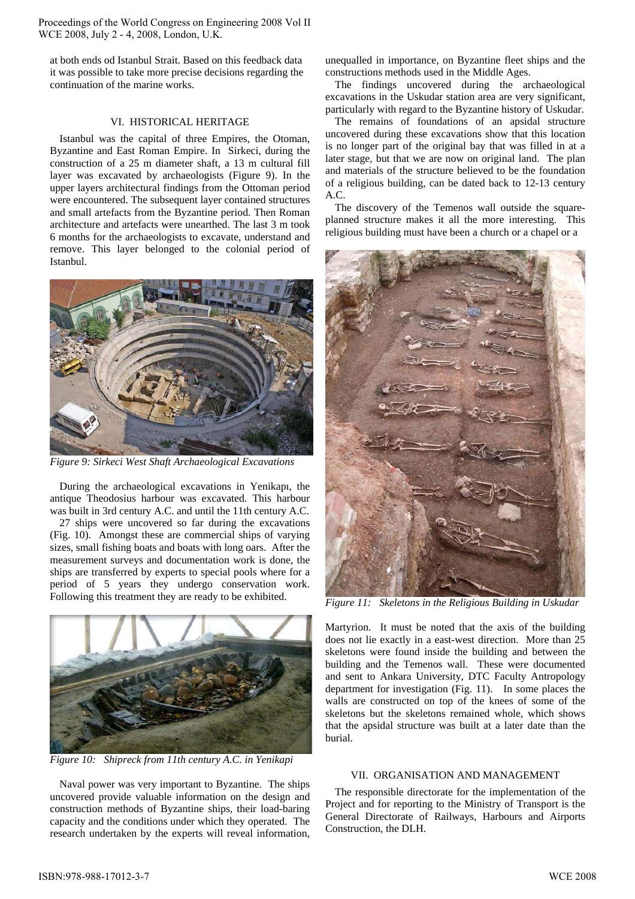at both ends od Istanbul Strait. Based on this feedback data it was possible to take more precise decisions regarding the continuation of the marine works.

## VI. HISTORICAL HERITAGE

Istanbul was the capital of three Empires, the Otoman, Byzantine and East Roman Empire. In Sirkeci, during the construction of a 25 m diameter shaft, a 13 m cultural fill layer was excavated by archaeologists (Figure 9). In the upper layers architectural findings from the Ottoman period were encountered. The subsequent layer contained structures and small artefacts from the Byzantine period. Then Roman architecture and artefacts were unearthed. The last 3 m took 6 months for the archaeologists to excavate, understand and remove. This layer belonged to the colonial period of Istanbul.



*Figure 9: Sirkeci West Shaft Archaeological Excavations* 

During the archaeological excavations in Yenikapı, the antique Theodosius harbour was excavated. This harbour was built in 3rd century A.C. and until the 11th century A.C.

27 ships were uncovered so far during the excavations (Fig. 10). Amongst these are commercial ships of varying sizes, small fishing boats and boats with long oars. After the measurement surveys and documentation work is done, the ships are transferred by experts to special pools where for a period of 5 years they undergo conservation work. Following this treatment they are ready to be exhibited.



*Figure 10: Shipreck from 11th century A.C. in Yenikapi* 

Naval power was very important to Byzantine. The ships uncovered provide valuable information on the design and construction methods of Byzantine ships, their load-baring capacity and the conditions under which they operated. The research undertaken by the experts will reveal information,

unequalled in importance, on Byzantine fleet ships and the constructions methods used in the Middle Ages.

The findings uncovered during the archaeological excavations in the Uskudar station area are very significant, particularly with regard to the Byzantine history of Uskudar.

The remains of foundations of an apsidal structure uncovered during these excavations show that this location is no longer part of the original bay that was filled in at a later stage, but that we are now on original land. The plan and materials of the structure believed to be the foundation of a religious building, can be dated back to 12-13 century A.C.

The discovery of the Temenos wall outside the squareplanned structure makes it all the more interesting. This religious building must have been a church or a chapel or a



*Figure 11: Skeletons in the Religious Building in Uskudar* 

Martyrion. It must be noted that the axis of the building does not lie exactly in a east-west direction. More than 25 skeletons were found inside the building and between the building and the Temenos wall. These were documented and sent to Ankara University, DTC Faculty Antropology department for investigation (Fig. 11). In some places the walls are constructed on top of the knees of some of the skeletons but the skeletons remained whole, which shows that the apsidal structure was built at a later date than the burial.

## VII. ORGANISATION AND MANAGEMENT

The responsible directorate for the implementation of the Project and for reporting to the Ministry of Transport is the General Directorate of Railways, Harbours and Airports Construction, the DLH.